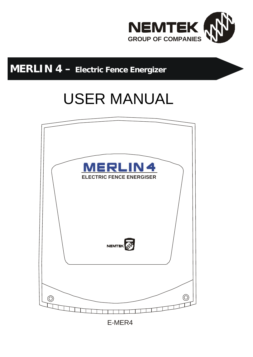

## **MERLIN 4 – Electric Fence Energizer**

# USER MANUAL



E-MER4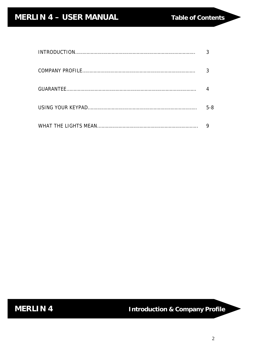| $5 - 8$ |
|---------|
|         |

 **MERLIN 4 Introduction & Company Profile**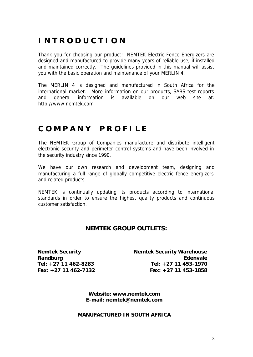### **I N T R O D U C T I O N**

Thank you for choosing our product! NEMTEK Electric Fence Energizers are designed and manufactured to provide many years of reliable use, if installed and maintained correctly. The guidelines provided in this manual will assist you with the basic operation and maintenance of your MERLIN 4.

The MERLIN 4 is designed and manufactured in South Africa for the international market. More information on our products, SABS test reports and general information is available on our web site at: http://www.nemtek.com

#### **C O M P A N Y P R O F I L E**

The NEMTEK Group of Companies manufacture and distribute intelligent electronic security and perimeter control systems and have been involved in the security industry since 1990.

We have our own research and development team, designing and manufacturing a full range of globally competitive electric fence energizers and related products

NEMTEK is continually updating its products according to international standards in order to ensure the highest quality products and continuous customer satisfaction.

#### **NEMTEK GROUP OUTLETS:**

**Nemtek Security Randburg Tel: +27 11 462-8283 Fax: +27 11 462-7132** **Nemtek Security Warehouse Edenvale Tel: +27 11 453-1970 Fax: +27 11 453-1858**

**Website: www.nemtek.com E-mail: nemtek@nemtek.com**

#### **MANUFACTURED IN SOUTH AFRICA**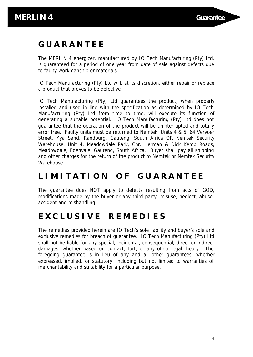#### **G U A R A N T E E**

The MERLIN 4 energizer, manufactured by IO Tech Manufacturing (Pty) Ltd, is guaranteed for a period of one year from date of sale against defects due to faulty workmanship or materials.

IO Tech Manufacturing (Pty) Ltd will, at its discretion, either repair or replace a product that proves to be defective.

IO Tech Manufacturing (Pty) Ltd guarantees the product, when properly installed and used in line with the specification as determined by IO Tech Manufacturing (Pty) Ltd from time to time, will execute its function of generating a suitable potential. IO Tech Manufacturing (Pty) Ltd does not guarantee that the operation of the product will be uninterrupted and totally error free. Faulty units must be returned to Nemtek, Units 4 & 5, 64 Vervoer Street, Kya Sand, Randburg, Gauteng, South Africa OR Nemtek Security Warehouse, Unit 4, Meadowdale Park, Cnr. Herman & Dick Kemp Roads, Meadowdale, Edenvale, Gauteng, South Africa. Buyer shall pay all shipping and other charges for the return of the product to Nemtek or Nemtek Security Warehouse.

#### **L I M I T A T I O N O F G U A R A N T E E**

The guarantee does NOT apply to defects resulting from acts of GOD, modifications made by the buyer or any third party, misuse, neglect, abuse, accident and mishandling.

#### **E X C L U S I V E R E M E D I E S**

The remedies provided herein are IO Tech's sole liability and buyer's sole and exclusive remedies for breach of guarantee. IO Tech Manufacturing (Pty) Ltd shall not be liable for any special, incidental, consequential, direct or indirect damages, whether based on contact, tort, or any other legal theory. The foregoing guarantee is in lieu of any and all other guarantees, whether expressed, implied, or statutory, including but not limited to warranties of merchantability and suitability for a particular purpose.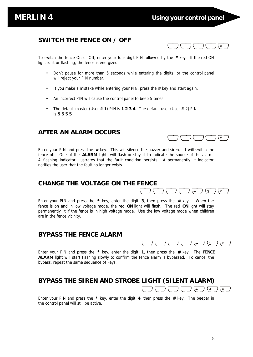$\binom{+}{\#}$ 

 $\sqrt{4}$ 

#### **SWITCH THE FENCE ON / OFF**

To switch the fence On or Off, enter your four digit PIN followed by the **#** key. If the red ON light is lit or flashing, the fence is energized.

- Don't pause for more than 5 seconds while entering the digits, or the control panel will reject your PIN number.
- If you make a mistake while entering your PIN, press the **#** key and start again.
- An incorrect PIN will cause the control panel to beep 5 times.
- The default master (User  $# 1$ ) PIN is **1 2 3 4**. The default user (User  $# 2$ ) PIN is **5 5 5 5**

#### **AFTER AN ALARM OCCURS**

Enter your PIN and press the **#** key. This will silence the buzzer and siren. It will switch the fence off. One of the **ALARM** lights will flash or stay lit to indicate the source of the alarm. A flashing indicator illustrates that the fault condition persists. A permanently lit indicator notifies the user that the fault no longer exists.

#### **CHANGE THE VOLTAGE ON THE FENCE**

Enter your PIN and press the **\*** key, enter the digit **3**, then press the **#** key. When the fence is on and in low voltage mode, the red **ON** light will flash. The red **ON** light will stay permanently lit if the fence is in high voltage mode. Use the low voltage mode when children are in the fence vicinity.

#### **BYPASS THE FENCE ALARM**

 $(\overline{\phantom{a}}\phantom{a}\overline{\phantom{a}}\phantom{a})\;(\overline{\phantom{a}}\phantom{a}\overline{\phantom{a}}\phantom{a})\;(\overline{\phantom{a}}\phantom{a}\overline{\phantom{a}}\phantom{a})\;(\overline{\phantom{a}}\phantom{a}\overline{\phantom{a}}\phantom{a})$ 

 $\overrightarrow{a} \overrightarrow{a} \overrightarrow{a} \overrightarrow{a} \overrightarrow{a} \overrightarrow{a} \overrightarrow{a} \overrightarrow{a} \overrightarrow{a} \overrightarrow{a} \overrightarrow{a} \overrightarrow{a} \overrightarrow{a} \overrightarrow{a} \overrightarrow{a} \overrightarrow{a} \overrightarrow{a} \overrightarrow{a} \overrightarrow{a} \overrightarrow{a} \overrightarrow{a} \overrightarrow{a} \overrightarrow{a} \overrightarrow{a} \overrightarrow{a} \overrightarrow{a} \overrightarrow{a} \overrightarrow{a} \overrightarrow{a} \overrightarrow{a} \overrightarrow{a} \overrightarrow{a} \overrightarrow{a} \overrightarrow{a} \overrightarrow{a} \overrightarrow{a} \overrightarrow{$ 

Enter your PIN and press the **\*** key, enter the digit **1**, then press the **#** key. The **FENCE ALARM** light will start flashing slowly to confirm the fence alarm is bypassed. To cancel the bypass, repeat the same sequence of keys.

#### **BYPASS THE SIREN AND STROBE LIGHT (SILENT ALARM)**  $\begin{array}{ccc} & \fbox{array}{cc} & \fbox{array}{cc} & \fbox{array}{cc} & \fbox{array}{cc} & \fbox{array}{cc} & \fbox{array}{cc} & \fbox{array}{cc} & \fbox{array}{cc} & \fbox{array}{cc} & \fbox{array}{cc} & \fbox{array}{cc} & \fbox{array}{cc} & \fbox{array}{cc} & \fbox{array}{cc} & \fbox{array}{cc} & \fbox{array}{cc} & \fbox{array}{cc} & \fbox{array}{cc} & \fbox{array}{cc} & \fbox{array}{cc} & \fbox{array}{cc} & \fbox{array}{cc} & \fbox{array}{cc} & \fbox{array$

Enter your PIN and press the **\*** key, enter the digit **4**, then press the **#** key. The beeper in the control panel will still be active.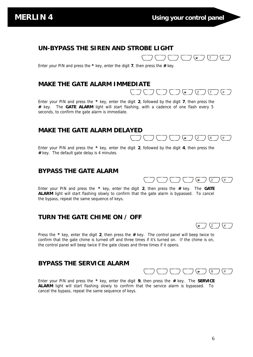$\begin{pmatrix} - & & \\ & \end{pmatrix} \begin{pmatrix} - & & \\ & \end{pmatrix} \begin{pmatrix} - & & \\ & \end{pmatrix} \begin{pmatrix} \ast & \\ \ast & \end{pmatrix} \begin{pmatrix} 7 & \\ & \end{pmatrix} \begin{pmatrix} \ast & \\ \end{pmatrix}$ 

 $\begin{pmatrix} - & & \\ & \end{pmatrix} \begin{pmatrix} - & & \\ & \end{pmatrix} \begin{pmatrix} - & & \\ & \end{pmatrix} \begin{pmatrix} \ast & \\ \ast & \end{pmatrix} \begin{pmatrix} 2 & \\ 2 & \end{pmatrix} \begin{pmatrix} 7 & \\ 7 & \end{pmatrix} \begin{pmatrix} \ast & \\ \ast & \end{pmatrix}$ 

 $\begin{pmatrix} - & & \\ & \end{pmatrix} \begin{pmatrix} - & & \\ & \end{pmatrix} \begin{pmatrix} - & & \\ & \end{pmatrix} \begin{pmatrix} \ast & \\ \ast & \end{pmatrix} \begin{pmatrix} 2 & \\ 2 & \end{pmatrix} \begin{pmatrix} 4 & \\ 4 & \end{pmatrix} \begin{pmatrix} \ast & \\ \ast & \end{pmatrix}$ 

2 #

 $(\overline{\phantom{a}}\phantom{a}\phantom{a}\phantom{a})\;(\overline{\phantom{a}}\phantom{a}\phantom{a}\phantom{a})\;(\overline{\phantom{a}}\phantom{a}\phantom{a}\phantom{a})\;(\overline{\phantom{a}}\phantom{a}\phantom{a}\phantom{a})\;(\overline{\phantom{a}}\phantom{a}\phantom{a}\phantom{a})$ 

#### **UN-BYPASS THE SIREN AND STROBE LIGHT**

Enter your PIN and press the **\*** key, enter the digit **7**, then press the **#** key.

#### **MAKE THE GATE ALARM IMMEDIATE**

Enter your PIN and press the **\*** key, enter the digit **2**, followed by the digit **7**, then press the **#** key. The **GATE ALARM** light will start flashing, with a cadence of one flash every 5 seconds, to confirm the gate alarm is immediate.

#### **MAKE THE GATE ALARM DELAYED**

Enter your PIN and press the **\*** key, enter the digit **2**, followed by the digit **4**, then press the **#** key. The default gate delay is 4 minutes.

#### **BYPASS THE GATE ALARM**

Enter your PIN and press the **\*** key, enter the digit **2**, then press the **#** key. The **GATE ALARM** light will start flashing slowly to confirm that the gate alarm is bypassed. To cancel the bypass, repeat the same sequence of keys.

#### **TURN THE GATE CHIME ON / OFF**

Press the **\*** key, enter the digit **2**, then press the **#** key. The control panel will beep twice to confirm that the gate chime is turned off and three times if it's turned on. If the chime is on, the control panel will beep twice if the gate closes and three times if it opens.

#### **BYPASS THE SERVICE ALARM**

Enter your PIN and press the **\*** key, enter the digit **9**, then press the **#** key. The **SERVICE ALARM** light will start flashing slowly to confirm that the service alarm is bypassed. To cancel the bypass, repeat the same sequence of keys.

 $\left(\frac{1}{2}\right)\left(\frac{1}{4}\right)$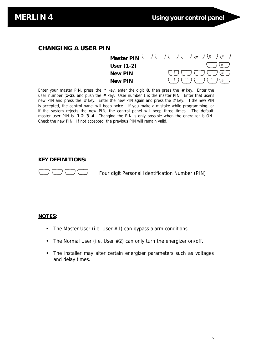#### **CHANGING A USER PIN**

**Master PIN**  $\cup$   $\cup$   $\cup$   $\cup$   $\cup$   $\cup$   $\setminus$   $\setminus$   $\setminus$   $\setminus$   $\setminus$   $\setminus$   $\setminus$ # # # **User (1-2) New PIN New PIN**

Enter your master PIN, press the **\*** key, enter the digit **0**, then press the **#** key. Enter the user number (**1-2**), and push the **#** key. User number 1 is the master PIN. Enter that user's new PIN and press the **#** key. Enter the new PIN again and press the **#** key. If the new PIN is accepted, the control panel will beep twice. If you make a mistake while programming, or if the system rejects the new PIN, the control panel will beep three times. The default master user PIN is **1 2 3 4**. Changing the PIN is only possible when the energizer is ON. Check the new PIN. If not accepted, the previous PIN will remain valid.

#### **KEY DEFINITIONS:**

Four digit Personal Identification Number (PIN)

#### **NOTES:**

- The Master User (i.e. User  $#1$ ) can bypass alarm conditions.
- The Normal User (i.e. User #2) can only turn the energizer on/off.
- The installer may alter certain energizer parameters such as voltages and delay times.